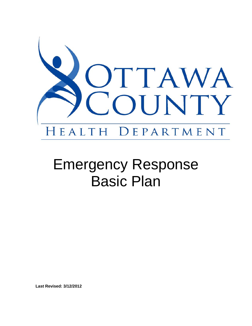

# Emergency Response Basic Plan

**Last Revised: 3/12/2012**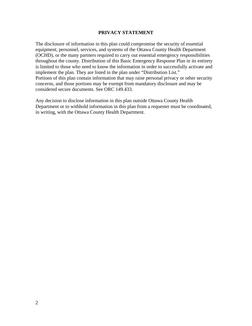#### **PRIVACY STATEMENT**

The disclosure of information in this plan could compromise the security of essential equipment, personnel, services, and systems of the Ottawa County Health Department (OCHD), or the many partners required to carry out essential emergency responsibilities throughout the county. Distribution of this Basic Emergency Response Plan in its entirety is limited to those who need to know the information in order to successfully activate and implement the plan. They are listed in the plan under "Distribution List." Portions of this plan contain information that may raise personal privacy or other security concerns, and those portions may be exempt from mandatory disclosure and may be considered secure documents. See ORC 149.433.

Any decision to disclose information in this plan outside Ottawa County Health Department or to withhold information in this plan from a requester must be coordinated, in writing, with the Ottawa County Health Department.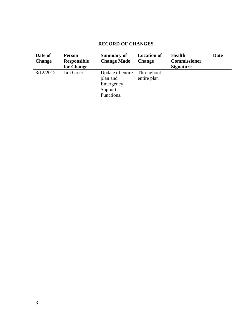# **RECORD OF CHANGES**

| Date of<br><b>Change</b> | <b>Person</b><br>Responsible<br>for Change | <b>Summary of</b><br><b>Change Made</b>                            | <b>Location of</b><br><b>Change</b> | <b>Health</b><br><b>Commissioner</b><br><b>Signature</b> | <b>Date</b> |
|--------------------------|--------------------------------------------|--------------------------------------------------------------------|-------------------------------------|----------------------------------------------------------|-------------|
| 3/12/2012                | Jim Greer                                  | Update of entire<br>plan and<br>Emergency<br>Support<br>Functions. | Throughout<br>entire plan           |                                                          |             |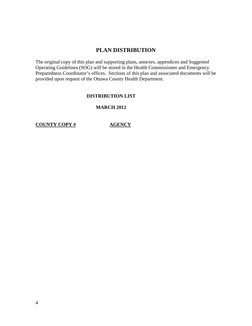# **PLAN DISTRIBUTION**

The original copy of this plan and supporting plans, annexes, appendices and Suggested Operating Guidelines (SOG) will be stored in the Health Commissioner and Emergency Preparedness Coordinator's offices. Sections of this plan and associated documents will be provided upon request of the Ottawa County Health Department.

## **DISTRIBUTION LIST**

## **MARCH 2012**

**COUNTY COPY # AGENCY**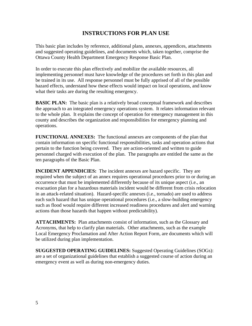# **INSTRUCTIONS FOR PLAN USE**

This basic plan includes by reference, additional plans, annexes, appendices, attachments and suggested operating guidelines, and documents which, taken together, comprise the Ottawa County Health Department Emergency Response Basic Plan.

In order to execute this plan effectively and mobilize the available resources, all implementing personnel must have knowledge of the procedures set forth in this plan and be trained in its use. All response personnel must be fully apprised of all of the possible hazard effects, understand how these effects would impact on local operations, and know what their tasks are during the resulting emergency.

**BASIC PLAN:** The basic plan is a relatively broad conceptual framework and describes the approach to an integrated emergency operations system. It relates information relevant to the whole plan. It explains the concept of operation for emergency management in this county and describes the organization and responsibilities for emergency planning and operations.

 **FUNCTIONAL ANNEXES:** The functional annexes are components of the plan that contain information on specific functional responsibilities, tasks and operation actions that pertain to the function being covered. They are action-oriented and written to guide personnel charged with execution of the plan. The paragraphs are entitled the same as the ten paragraphs of the Basic Plan.

**INCIDENT APPENDICIES:** The incident annexes are hazard specific. They are required when the subject of an annex requires operational procedures prior to or during an occurrence that must be implemented differently because of its unique aspect (i.e., an evacuation plan for a hazardous materials incident would be different from crisis relocation in an attack-related situation). Hazard-specific annexes (i.e., tornado) are used to address each such hazard that has unique operational procedures (i.e., a slow-building emergency such as flood would require different increased readiness procedures and alert and warning actions than those hazards that happen without predictability).

 **ATTACHMENTS:** Plan attachments consist of information, such as the Glossary and Acronyms, that help to clarify plan materials. Other attachments, such as the example Local Emergency Proclamation and After Action Report Form, are documents which will be utilized during plan implementation.

**SUGGESTED OPERATING GUIDELINES:** Suggested Operating Guidelines (SOGs): are a set of organizational guidelines that establish a suggested course of action during an emergency event as well as during non-emergency duties.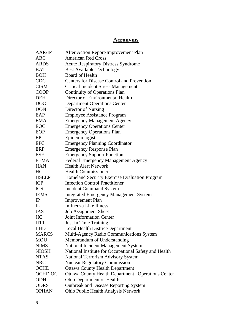# **Acronyms**

| <b>AAR/IP</b>  | After Action Report/Improvement Plan                     |  |  |  |  |
|----------------|----------------------------------------------------------|--|--|--|--|
| <b>ARC</b>     | <b>American Red Cross</b>                                |  |  |  |  |
| <b>ARDS</b>    | <b>Acute Respiratory Distress Syndrome</b>               |  |  |  |  |
| <b>BAT</b>     | <b>Best Available Technology</b>                         |  |  |  |  |
| <b>BOH</b>     | <b>Board of Health</b>                                   |  |  |  |  |
| <b>CDC</b>     | <b>Centers for Disease Control and Prevention</b>        |  |  |  |  |
| <b>CISM</b>    | <b>Critical Incident Stress Management</b>               |  |  |  |  |
| <b>COOP</b>    | <b>Continuity of Operations Plan</b>                     |  |  |  |  |
| <b>DEH</b>     | Director of Environmental Health                         |  |  |  |  |
| <b>DOC</b>     | <b>Department Operations Center</b>                      |  |  |  |  |
| <b>DON</b>     | Director of Nursing                                      |  |  |  |  |
| EAP            | <b>Employee Assistance Program</b>                       |  |  |  |  |
| <b>EMA</b>     | <b>Emergency Management Agency</b>                       |  |  |  |  |
| EOC            | <b>Emergency Operations Center</b>                       |  |  |  |  |
| EOP            | <b>Emergency Operations Plan</b>                         |  |  |  |  |
| EPI            | Epidemiologist                                           |  |  |  |  |
| <b>EPC</b>     | <b>Emergency Planning Coordinator</b>                    |  |  |  |  |
| <b>ERP</b>     | <b>Emergency Response Plan</b>                           |  |  |  |  |
| <b>ESF</b>     | <b>Emergency Support Function</b>                        |  |  |  |  |
| <b>FEMA</b>    | <b>Federal Emergency Management Agency</b>               |  |  |  |  |
| <b>HAN</b>     | <b>Health Alert Network</b>                              |  |  |  |  |
| HC             | <b>Health Commissioner</b>                               |  |  |  |  |
| <b>HSEEP</b>   | Homeland Security Exercise Evaluation Program            |  |  |  |  |
| <b>ICP</b>     | <b>Infection Control Practitioner</b>                    |  |  |  |  |
| <b>ICS</b>     | <b>Incident Command System</b>                           |  |  |  |  |
| <b>IEMS</b>    | <b>Integrated Emergency Management System</b>            |  |  |  |  |
| IP             | <b>Improvement Plan</b>                                  |  |  |  |  |
| ILI            | <b>Influenza Like Illness</b>                            |  |  |  |  |
| <b>JAS</b>     | <b>Job Assignment Sheet</b>                              |  |  |  |  |
| <b>JIC</b>     | <b>Joint Information Center</b>                          |  |  |  |  |
| <b>JITT</b>    | <b>Just In Time Training</b>                             |  |  |  |  |
| <b>LHD</b>     | Local Health District/Department                         |  |  |  |  |
| <b>MARCS</b>   | Multi-Agency Radio Communications System                 |  |  |  |  |
| MOU            | Memorandum of Understanding                              |  |  |  |  |
| <b>NIMS</b>    | National Incident Management System                      |  |  |  |  |
| <b>NIOSH</b>   | National Institute for Occupational Safety and Health    |  |  |  |  |
| <b>NTAS</b>    | National Terrorism Advisory System                       |  |  |  |  |
| <b>NRC</b>     | <b>Nuclear Regulatory Commission</b>                     |  |  |  |  |
| <b>OCHD</b>    | <b>Ottawa County Health Department</b>                   |  |  |  |  |
| <b>OCHD OC</b> | <b>Ottawa County Health Department</b> Operations Center |  |  |  |  |
| ODH            | Ohio Department of Health                                |  |  |  |  |
| <b>ODRS</b>    | <b>Outbreak and Disease Reporting System</b>             |  |  |  |  |
| <b>OPHAN</b>   | Ohio Public Health Analysis Network                      |  |  |  |  |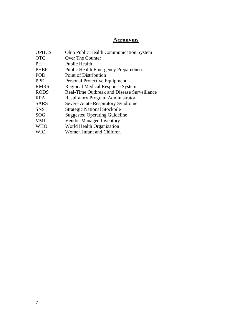# **Acronyms**

| <b>OPHCS</b> | <b>Ohio Public Health Communication System</b>     |
|--------------|----------------------------------------------------|
| <b>OTC</b>   | Over The Counter                                   |
| PH           | Public Health                                      |
| <b>PHEP</b>  | <b>Public Health Emergency Preparedness</b>        |
| POD          | Point of Distribution                              |
| PPE.         | Personal Protective Equipment                      |
| <b>RMRS</b>  | <b>Regional Medical Response System</b>            |
| <b>RODS</b>  | <b>Real-Time Outbreak and Disease Surveillance</b> |
| <b>RPA</b>   | <b>Respiratory Program Administrator</b>           |
| SARS         | Severe Acute Respiratory Syndrome                  |
| <b>SNS</b>   | <b>Strategic National Stockpile</b>                |
| SOG          | <b>Suggested Operating Guideline</b>               |
| <b>VMI</b>   | <b>Vendor Managed Inventory</b>                    |
| <b>WHO</b>   | World Health Organization                          |
| <b>WIC</b>   | Women Infant and Children                          |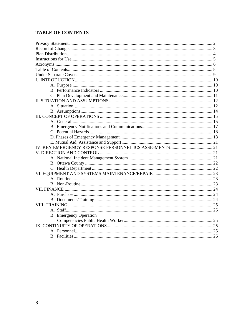# **TABLE OF CONTENTS**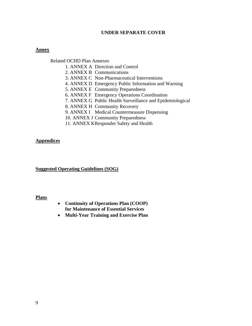## **UNDER SEPARATE COVER**

#### **Annex**

Related OCHD Plan Annexes

- 1. ANNEX A Direction and Control
- 2. ANNEX B Communications
- 3. ANNEX C Non-Pharmaceutical Interventions
- 4. ANNEX D Emergency Public Information and Warning
- 5. ANNEX E Community Preparedness
- 6. ANNEX F Emergency Operations Coordination
- 7. ANNEX G Public Health Surveillance and Epidemiological
- 8. ANNEX H Community Recovery
- 9. ANNEX I Medical Countermeasure Dispensing
- 10. ANNEX J Community Preparedness
- 11. ANNEX K Responder Safety and Health

#### **Appendices**

**Suggested Operating Guidelines (SOG)** 

#### **Plans**

- **Continuity of Operations Plan (COOP) for Maintenance of Essential Services**
- **Multi-Year Training and Exercise Plan**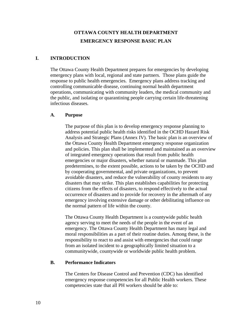# **OTTAWA COUNTY HEALTH DEPARTMENT EMERGENCY RESPONSE BASIC PLAN**

#### **I. INTRODUCTION**

The Ottawa County Health Department prepares for emergencies by developing emergency plans with local, regional and state partners. Those plans guide the response to public health emergencies. Emergency plans address tracking and controlling communicable disease, continuing normal health department operations, communicating with community leaders, the medical community and the public, and isolating or quarantining people carrying certain life-threatening infectious diseases.

#### **A**. **Purpose**

 The purpose of this plan is to develop emergency response planning to address potential public health risks identified in the OCHD Hazard Risk Analysis and Strategic Plans (Annex IV). The basic plan is an overview of the Ottawa County Health Department emergency response organization and policies. This plan shall be implemented and maintained as an overview of integrated emergency operations that result from public health emergencies or major disasters, whether natural or manmade. This plan predetermines, to the extent possible, actions to be taken by the OCHD and by cooperating governmental, and private organizations, to prevent avoidable disasters, and reduce the vulnerability of county residents to any disasters that may strike. This plan establishes capabilities for protecting citizens from the effects of disasters, to respond effectively to the actual occurrence of disasters and to provide for recovery in the aftermath of any emergency involving extensive damage or other debilitating influence on the normal pattern of life within the county.

 The Ottawa County Health Department is a countywide public health agency serving to meet the needs of the people in the event of an emergency. The Ottawa County Health Department has many legal and moral responsibilities as a part of their routine duties. Among these, is the responsibility to react to and assist with emergencies that could range from an isolated incident to a geographically limited situation to a communitywide, countywide or worldwide public health problem.

# **B. Performance Indicators**

 The Centers for Disease Control and Prevention (CDC) has identified emergency response competencies for all Public Health workers. These competencies state that all PH workers should be able to: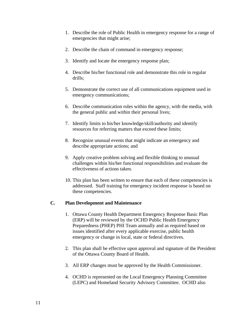- 1. Describe the role of Public Health in emergency response for a range of emergencies that might arise;
- 2. Describe the chain of command in emergency response;
- 3. Identify and locate the emergency response plan;
- 4. Describe his/her functional role and demonstrate this role in regular drills;
- 5. Demonstrate the correct use of all communications equipment used in emergency communications;
- 6. Describe communication roles within the agency, with the media, with the general public and within their personal lives;
- 7. Identify limits to his/her knowledge/skill/authority and identify resources for referring matters that exceed these limits;
- 8. Recognize unusual events that might indicate an emergency and describe appropriate actions; and
- 9. Apply creative problem solving and flexible thinking to unusual challenges within his/her functional responsibilities and evaluate the effectiveness of actions taken.
- 10. This plan has been written to ensure that each of these competencies is addressed. Staff training for emergency incident response is based on these competencies.

#### **C. Plan Development and Maintenance**

- 1. Ottawa County Health Department Emergency Response Basic Plan (ERP) will be reviewed by the OCHD Public Health Emergency Preparedness (PHEP) PHI Team annually and as required based on issues identified after every applicable exercise, public health emergency or change in local, state or federal directives.
- 2. This plan shall be effective upon approval and signature of the President of the Ottawa County Board of Health.
- 3. All ERP changes must be approved by the Health Commissioner.
- 4. OCHD is represented on the Local Emergency Planning Committee (LEPC) and Homeland Security Advisory Committee. OCHD also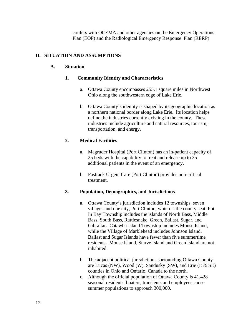confers with OCEMA and other agencies on the Emergency Operations Plan (EOP) and the Radiological Emergency Response Plan (RERP).

# **II. SITUATION AND ASSUMPTIONS**

# **A. Situation**

# **1. Community Identity and Characteristics**

- a. Ottawa County encompasses 255.1 square miles in Northwest Ohio along the southwestern edge of Lake Erie.
- b. Ottawa County's identity is shaped by its geographic location as a northern national border along Lake Erie. Its location helps define the industries currently existing in the county. These industries include agriculture and natural resources, tourism, transportation, and energy.

# **2. Medical Facilities**

- a. Magruder Hospital (Port Clinton) has an in-patient capacity of 25 beds with the capability to treat and release up to 35 additional patients in the event of an emergency.
- b. Fastrack Urgent Care (Port Clinton) provides non-critical treatment.

# **3. Population, Demographics, and Jurisdictions**

- a. Ottawa County's jurisdiction includes 12 townships, seven villages and one city, Port Clinton, which is the county seat. Put In Bay Township includes the islands of North Bass, Middle Bass, South Bass, Rattlesnake, Green, Ballast, Sugar, and Gibraltar. Catawba Island Township includes Mouse Island, while the Village of Marblehead includes Johnson Island. Ballast and Sugar Islands have fewer than five summertime residents. Mouse Island, Starve Island and Green Island are not inhabited.
- b. The adjacent political jurisdictions surrounding Ottawa County are Lucas (NW), Wood (W), Sandusky (SW), and Erie (E  $&$  SE) counties in Ohio and Ontario, Canada to the north.
- c. Although the official population of Ottawa County is 41,428 seasonal residents, boaters, transients and employees cause summer populations to approach 300,000.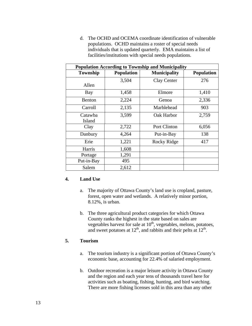d. The OCHD and OCEMA coordinate identification of vulnerable populations. OCHD maintains a roster of special needs individuals that is updated quarterly. EMA maintains a list of facilities/institutions with special needs populations.

| <b>Population According to Township and Municipality</b> |                   |                     |                   |  |  |  |
|----------------------------------------------------------|-------------------|---------------------|-------------------|--|--|--|
| Township                                                 | <b>Population</b> | <b>Municipality</b> | <b>Population</b> |  |  |  |
|                                                          | 3,504             | <b>Clay Center</b>  | 276               |  |  |  |
| Allen                                                    |                   |                     |                   |  |  |  |
| Bay                                                      | 1,458             | Elmore              | 1,410             |  |  |  |
| Benton                                                   | 2,224             | Genoa               | 2,336             |  |  |  |
| Carroll                                                  | 2,135             | Marblehead          | 903               |  |  |  |
| Catawba                                                  | 3,599             | Oak Harbor          | 2,759             |  |  |  |
| Island                                                   |                   |                     |                   |  |  |  |
| Clay                                                     | 2,722             | Port Clinton        | 6,056             |  |  |  |
| Danbury                                                  | 4,264             | Put-in-Bay          | 138               |  |  |  |
| Erie                                                     | 1,221             | Rocky Ridge         | 417               |  |  |  |
| Harris                                                   | 1,608             |                     |                   |  |  |  |
| Portage                                                  | 1,291             |                     |                   |  |  |  |
| Put-in-Bay                                               | 495               |                     |                   |  |  |  |
| Salem                                                    | 2,612             |                     |                   |  |  |  |

# **4. Land Use**

- a. The majority of Ottawa County's land use is cropland, pasture, forest, open water and wetlands. A relatively minor portion, 8.12%, is urban.
- b. The three agricultural product categories for which Ottawa County ranks the highest in the state based on sales are vegetables harvest for sale at  $10<sup>th</sup>$ , vegetables, melons, potatoes, and sweet potatoes at  $12<sup>th</sup>$ , and rabbits and their pelts at  $12<sup>th</sup>$ .

## **5. Tourism**

- a. The tourism industry is a significant portion of Ottawa County's economic base, accounting for 22.4% of salaried employment.
- b. Outdoor recreation is a major leisure activity in Ottawa County and the region and each year tens of thousands travel here for activities such as boating, fishing, hunting, and bird watching. There are more fishing licenses sold in this area than any other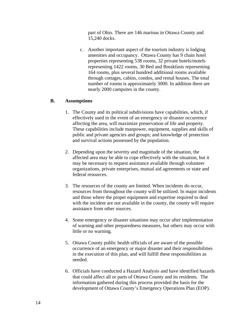part of Ohio. There are 146 marinas in Ottawa County and 15,240 docks.

c. Another important aspect of the tourism industry is lodging amenities and occupancy. Ottawa County has 9 chain hotel properties representing 538 rooms, 32 private hotels/motels representing 1422 rooms, 30 Bed and Breakfasts representing 164 rooms, plus several hundred additional rooms available through cottages, cabins, condos, and rental houses. The total number of rooms is approximately 3000. In addition there are nearly 2000 campsites in the county.

#### **B. Assumptions**

- 1. The County and its political subdivisions have capabilities, which, if effectively used in the event of an emergency or disaster occurrence affecting the area, will maximize preservation of life and property. These capabilities include manpower, equipment, supplies and skills of public and private agencies and groups; and knowledge of protection and survival actions possessed by the population.
- 2. Depending upon the severity and magnitude of the situation, the affected area may be able to cope effectively with the situation, but it may be necessary to request assistance available through volunteer organizations, private enterprises, mutual aid agreements or state and federal resources.
- 3. The resources of the county are limited. When incidents do occur, resources from throughout the county will be utilized. In major incidents and those where the proper equipment and expertise required to deal with the incident are not available in the county, the county will require assistance from other sources.
- 4. Some emergency or disaster situations may occur after implementation of warning and other preparedness measures, but others may occur with little or no warning.
- 5. Ottawa County public health officials of are aware of the possible occurrence of an emergency or major disaster and their responsibilities in the execution of this plan, and will fulfill these responsibilities as needed.
- 6. Officials have conducted a Hazard Analysis and have identified hazards that could affect all or parts of Ottawa County and its residents. The information gathered during this process provided the basis for the development of Ottawa County's Emergency Operations Plan (EOP).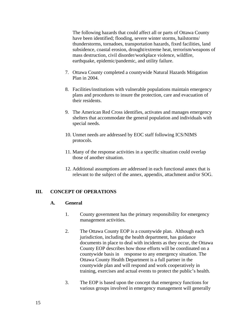The following hazards that could affect all or parts of Ottawa County have been identified; flooding, severe winter storms, hailstorms/ thunderstorms, tornadoes, transportation hazards, fixed facilities, land subsidence, coastal erosion, drought/extreme heat, terrorism/weapons of mass destruction, civil disorder/workplace violence, wildfire, earthquake, epidemic/pandemic, and utility failure.

- 7. Ottawa County completed a countywide Natural Hazards Mitigation Plan in 2004.
- 8. Facilities/institutions with vulnerable populations maintain emergency plans and procedures to insure the protection, care and evacuation of their residents.
- 9. The American Red Cross identifies, activates and manages emergency shelters that accommodate the general population and individuals with special needs.
- 10. Unmet needs are addressed by EOC staff following ICS/NIMS protocols.
- 11. Many of the response activities in a specific situation could overlap those of another situation.
- 12. Additional assumptions are addressed in each functional annex that is relevant to the subject of the annex, appendix, attachment and/or SOG.

# **III. CONCEPT OF OPERATIONS**

# **A. General**

- 1. County government has the primary responsibility for emergency management activities.
- 2. The Ottawa County EOP is a countywide plan. Although each jurisdiction, including the health department, has guidance documents in place to deal with incidents as they occur, the Ottawa County EOP describes how those efforts will be coordinated on a countywide basis in response to any emergency situation. The Ottawa County Health Department is a full partner in the countywide plan and will respond and work cooperatively in training, exercises and actual events to protect the public's health.
- 3. The EOP is based upon the concept that emergency functions for various groups involved in emergency management will generally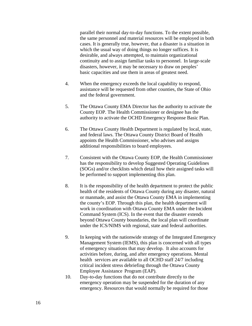parallel their normal day-to-day functions. To the extent possible, the same personnel and material resources will be employed in both cases. It is generally true, however, that a disaster is a situation in which the usual way of doing things no longer suffices. It is desirable, and always attempted, to maintain organizational continuity and to assign familiar tasks to personnel. In large-scale disasters, however, it may be necessary to draw on peoples' basic capacities and use them in areas of greatest need.

- 4. When the emergency exceeds the local capability to respond, assistance will be requested from other counties, the State of Ohio and the federal government.
- 5. The Ottawa County EMA Director has the authority to activate the County EOP. The Health Commissioner or designee has the authority to activate the OCHD Emergency Response Basic Plan.
- 6. The Ottawa County Health Department is regulated by local, state, and federal laws. The Ottawa County District Board of Health appoints the Health Commissioner, who advises and assigns additional responsibilities to board employees.
- 7. Consistent with the Ottawa County EOP, the Health Commissioner has the responsibility to develop Suggested Operating Guidelines (SOGs) and/or checklists which detail how their assigned tasks will be performed to support implementing this plan.
- 8. It is the responsibility of the health department to protect the public health of the residents of Ottawa County during any disaster, natural or manmade, and assist the Ottawa County EMA in implementing the county's EOP. Through this plan, the health department will work in coordination with Ottawa County EMA under the Incident Command System (ICS). In the event that the disaster extends beyond Ottawa County boundaries, the local plan will coordinate under the ICS/NIMS with regional, state and federal authorities.
- 9. In keeping with the nationwide strategy of the Integrated Emergency Management System (IEMS), this plan is concerned with all types of emergency situations that may develop. It also accounts for activities before, during, and after emergency operations. Mental health services are available to all OCHD staff 24/7 including critical incident stress debriefing through the Ottawa County Employee Assistance Program (EAP).
- 10. Day-to-day functions that do not contribute directly to the emergency operation may be suspended for the duration of any emergency. Resources that would normally be required for those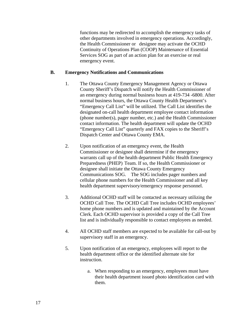functions may be redirected to accomplish the emergency tasks of other departments involved in emergency operations. Accordingly, the Health Commissioner or designee may activate the OCHD Continuity of Operations Plan (COOP) Maintenance of Essential Services SOG as part of an action plan for an exercise or real emergency event.

## **B. Emergency Notifications and Communications**

- 1. The Ottawa County Emergency Management Agency or Ottawa County Sheriff's Dispatch will notify the Health Commissioner of an emergency during normal business hours at 419-734 -6800. After normal business hours, the Ottawa County Health Department's "Emergency Call List" will be utilized. The Call List identifies the designated on-call health department employee contact information (phone number(s), pager number, etc.) and the Health Commissioner contact information. The health department will update the OCHD "Emergency Call List" quarterly and FAX copies to the Sheriff's Dispatch Center and Ottawa County EMA.
- 2. Upon notification of an emergency event, the Health Commissioner or designee shall determine if the emergency warrants call up of the health department Public Health Emergency Preparedness (PHEP) Team. If so, the Health Commissioner or designee shall initiate the Ottawa County Emergency Communications SOG. The SOG includes pager numbers and cellular phone numbers for the Health Commissioner and all key health department supervisory/emergency response personnel.
- 3. Additional OCHD staff will be contacted as necessary utilizing the OCHD Call Tree. The OCHD Call Tree includes OCHD employees' home phone numbers and is updated and maintained by the Account Clerk. Each OCHD supervisor is provided a copy of the Call Tree list and is individually responsible to contact employees as needed.
- 4. All OCHD staff members are expected to be available for call-out by supervisory staff in an emergency.
- 5. Upon notification of an emergency, employees will report to the health department office or the identified alternate site for instruction.
	- a. When responding to an emergency, employees must have their health department issued photo identification card with them.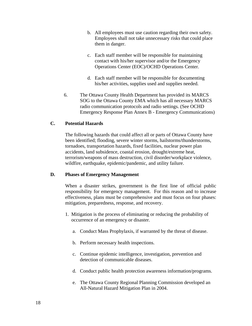- b. All employees must use caution regarding their own safety. Employees shall not take unnecessary risks that could place them in danger.
- c. Each staff member will be responsible for maintaining contact with his/her supervisor and/or the Emergency Operations Center (EOC)/OCHD Operations Center.
- d. Each staff member will be responsible for documenting his/her activities, supplies used and supplies needed.
- 6. The Ottawa County Health Department has provided its MARCS SOG to the Ottawa County EMA which has all necessary MARCS radio communication protocols and radio settings. (See OCHD Emergency Response Plan Annex B - Emergency Communications)

#### **C. Potential Hazards**

 The following hazards that could affect all or parts of Ottawa County have been identified; flooding, severe winter storms, hailstorms/thunderstorms, tornadoes, transportation hazards, fixed facilities, nuclear power plan accidents, land subsidence, coastal erosion, drought/extreme heat, terrorism/weapons of mass destruction, civil disorder/workplace violence, wildfire, earthquake, epidemic/pandemic, and utility failure.

#### **D. Phases of Emergency Management**

 When a disaster strikes, government is the first line of official public responsibility for emergency management. For this reason and to increase effectiveness, plans must be comprehensive and must focus on four phases: mitigation, preparedness, response, and recovery.

- 1. Mitigation is the process of eliminating or reducing the probability of occurrence of an emergency or disaster.
	- a. Conduct Mass Prophylaxis, if warranted by the threat of disease.
	- b. Perform necessary health inspections.
	- c. Continue epidemic intelligence, investigation, prevention and detection of communicable diseases.
	- d. Conduct public health protection awareness information/programs.
	- e. The Ottawa County Regional Planning Commission developed an All-Natural Hazard Mitigation Plan in 2004.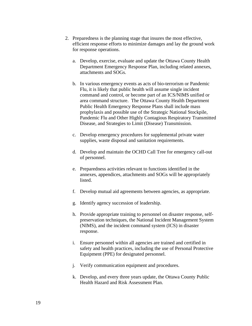- 2. Preparedness is the planning stage that insures the most effective, efficient response efforts to minimize damages and lay the ground work for response operations.
	- a. Develop, exercise, evaluate and update the Ottawa County Health Department Emergency Response Plan, including related annexes, attachments and SOGs.
	- b. In various emergency events as acts of bio-terrorism or Pandemic Flu, it is likely that public health will assume single incident command and control, or become part of an ICS/NIMS unified or area command structure. The Ottawa County Health Department Public Health Emergency Response Plans shall include mass prophylaxis and possible use of the Strategic National Stockpile, Pandemic Flu and Other Highly Contagious Respiratory Transmitted Disease, and Strategies to Limit (Disease) Transmission.
	- c. Develop emergency procedures for supplemental private water supplies, waste disposal and sanitation requirements.
	- d. Develop and maintain the OCHD Call Tree for emergency call-out of personnel.
	- e. Preparedness activities relevant to functions identified in the annexes, appendices, attachments and SOGs will be appropriately listed.
	- f. Develop mutual aid agreements between agencies, as appropriate.
	- g. Identify agency succession of leadership.
	- h. Provide appropriate training to personnel on disaster response, selfpreservation techniques, the National Incident Management System (NIMS), and the incident command system (ICS) in disaster response.
	- i. Ensure personnel within all agencies are trained and certified in safety and health practices, including the use of Personal Protective Equipment (PPE) for designated personnel.
	- j. Verify communication equipment and procedures.
	- k. Develop, and every three years update, the Ottawa County Public Health Hazard and Risk Assessment Plan.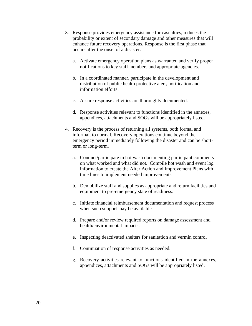- 3. Response provides emergency assistance for casualties, reduces the probability or extent of secondary damage and other measures that will enhance future recovery operations. Response is the first phase that occurs after the onset of a disaster.
	- a. Activate emergency operation plans as warranted and verify proper notifications to key staff members and appropriate agencies.
	- b. In a coordinated manner, participate in the development and distribution of public health protective alert, notification and information efforts.
	- c. Assure response activities are thoroughly documented.
	- d. Response activities relevant to functions identified in the annexes, appendices, attachments and SOGs will be appropriately listed.
- 4. Recovery is the process of returning all systems, both formal and informal, to normal. Recovery operations continue beyond the emergency period immediately following the disaster and can be shortterm or long-term.
	- a. Conduct/participate in hot wash documenting participant comments on what worked and what did not. Compile hot wash and event log information to create the After Action and Improvement Plans with time lines to implement needed improvements.
	- b. Demobilize staff and supplies as appropriate and return facilities and equipment to pre-emergency state of readiness.
	- c. Initiate financial reimbursement documentation and request process when such support may be available
	- d. Prepare and/or review required reports on damage assessment and health/environmental impacts.
	- e. Inspecting deactivated shelters for sanitation and vermin control
	- f. Continuation of response activities as needed.
	- g. Recovery activities relevant to functions identified in the annexes, appendices, attachments and SOGs will be appropriately listed.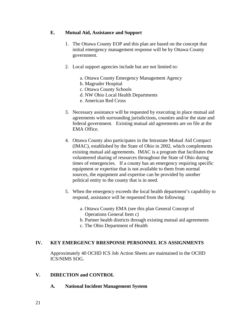## **E. Mutual Aid, Assistance and Support**

- 1. The Ottawa County EOP and this plan are based on the concept that initial emergency management response will be by Ottawa County government.
- 2. Local support agencies include but are not limited to:
	- a. Ottawa County Emergency Management Agency
	- b. Magruder Hospital
	- c. Ottawa County Schools
	- d. NW Ohio Local Health Departments
	- e. American Red Cross
- 3. Necessary assistance will be requested by executing in place mutual aid agreements with surrounding jurisdictions, counties and/or the state and federal government. Existing mutual aid agreements are on file at the EMA Office.
- 4. Ottawa County also participates in the Intrastate Mutual Aid Compact (IMAC), established by the State of Ohio in 2002, which complements existing mutual aid agreements. IMAC is a program that facilitates the volunteered sharing of resources throughout the State of Ohio during times of emergencies. If a county has an emergency requiring specific equipment or expertise that is not available to them from normal sources, the equipment and expertise can be provided by another political entity to the county that is in need.
- 5. When the emergency exceeds the local health department's capability to respond, assistance will be requested from the following:
	- a. Ottawa County EMA (see this plan General Concept of Operations General Item c)
	- b. Partner health districts through existing mutual aid agreements
	- c. The Ohio Department of Health

#### **IV. KEY EMERGENCY RRESPONSE PERSONNEL ICS ASSIGNMENTS**

Approximately 40 OCHD ICS Job Action Sheets are maintained in the OCHD ICS/NIMS SOG.

#### **V. DIRECTION and CONTROL**

**A. National Incident Management System**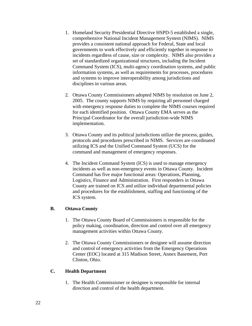- 1. Homeland Security Presidential Directive HSPD-5 established a single, comprehensive National Incident Management System (NIMS). NIMS provides a consistent national approach for Federal, State and local governments to work effectively and efficiently together in response to incidents regardless of cause, size or complexity. NIMS also provides a set of standardized organizational structures, including the Incident Command System (ICS), multi-agency coordination systems, and public information systems, as well as requirements for processes, procedures and systems to improve interoperability among jurisdictions and disciplines in various areas.
- 2. Ottawa County Commissioners adopted NIMS by resolution on June 2, 2005. The county supports NIMS by requiring all personnel charged with emergency response duties to complete the NIMS courses required for each identified position. Ottawa County EMA serves as the Principal Coordinator for the overall jurisdiction-wide NIMS implementation.
- 3. Ottawa County and its political jurisdictions utilize the process, guides, protocols and procedures prescribed in NIMS. Services are coordinated utilizing ICS and the Unified Command System (UCS) for the command and management of emergency responses.
- 4. The Incident Command System (ICS) is used to manage emergency incidents as well as non-emergency events in Ottawa County. Incident Command has five major functional areas: Operations, Planning, Logistics, Finance and Administration. First responders in Ottawa County are trained on ICS and utilize individual departmental policies and procedures for the establishment, staffing and functioning of the ICS system.

# **B. Ottawa County**

- 1. The Ottawa County Board of Commissioners is responsible for the policy making, coordination, direction and control over all emergency management activities within Ottawa County.
- 2. The Ottawa County Commissioners or designee will assume direction and control of emergency activities from the Emergency Operations Center (EOC) located at 315 Madison Street, Annex Basement, Port Clinton, Ohio.

# **C. Health Department**

1. The Health Commissioner or designee is responsible for internal direction and control of the health department.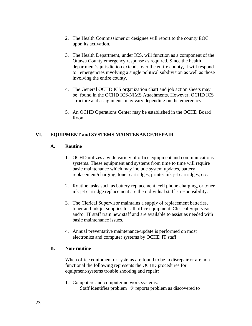- 2. The Health Commissioner or designee will report to the county EOC upon its activation.
- 3. The Health Department, under ICS, will function as a component of the Ottawa County emergency response as required. Since the health department's jurisdiction extends over the entire county, it will respond to emergencies involving a single political subdivision as well as those involving the entire county.
- 4. The General OCHD ICS organization chart and job action sheets may be found in the OCHD ICS/NIMS Attachments. However, OCHD ICS structure and assignments may vary depending on the emergency.
- 5. An OCHD Operations Center may be established in the OCHD Board Room.

# **VI. EQUIPMENT and SYSTEMS MAINTENANCE/REPAIR**

## **A. Routine**

- 1. OCHD utilizes a wide variety of office equipment and communications systems. These equipment and systems from time to time will require basic maintenance which may include system updates, battery replacement/charging, toner cartridges, printer ink jet cartridges, etc.
- 2. Routine tasks such as battery replacement, cell phone charging, or toner ink jet cartridge replacement are the individual staff's responsibility.
- 3. The Clerical Supervisor maintains a supply of replacement batteries, toner and ink jet supplies for all office equipment. Clerical Supervisor and/or IT staff train new staff and are available to assist as needed with basic maintenance issues.
- 4. Annual preventative maintenance/update is performed on most electronics and computer systems by OCHD IT staff.

# **B. Non-routine**

When office equipment or systems are found to be in disrepair or are nonfunctional the following represents the OCHD procedures for equipment/systems trouble shooting and repair:

1. Computers and computer network systems: Staff identifies problem  $\rightarrow$  reports problem as discovered to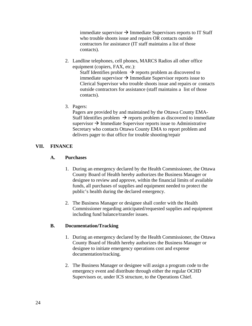immediate supervisor  $\rightarrow$  Immediate Supervisors reports to IT Staff who trouble shoots issue and repairs OR contacts outside contractors for assistance (IT staff maintains a list of those contacts).

2. Landline telephones, cell phones, MARCS Radios all other office equipment (copiers, FAX, etc.):

Staff Identifies problem  $\rightarrow$  reports problem as discovered to immediate supervisor  $\rightarrow$  Immediate Supervisor reports issue to Clerical Supervisor who trouble shoots issue and repairs or contacts outside contractors for assistance (staff maintains a list of those contacts).

3. Pagers:

Pagers are provided by and maintained by the Ottawa County EMA-Staff Identifies problem  $\rightarrow$  reports problem as discovered to immediate supervisor  $\rightarrow$  Immediate Supervisor reports issue to Administrative Secretary who contacts Ottawa County EMA to report problem and delivers pager to that office for trouble shooting/repair

# **VII. FINANCE**

# **A. Purchases**

- 1. During an emergency declared by the Health Commissioner, the Ottawa County Board of Health hereby authorizes the Business Manager or designee to review and approve, within the financial limits of available funds, all purchases of supplies and equipment needed to protect the public's health during the declared emergency.
- 2. The Business Manager or designee shall confer with the Health Commissioner regarding anticipated/requested supplies and equipment including fund balance/transfer issues.

# **B. Documentation/Tracking**

- 1. During an emergency declared by the Health Commissioner, the Ottawa County Board of Health hereby authorizes the Business Manager or designee to initiate emergency operations cost and expense documentation/tracking.
- 2. The Business Manager or designee will assign a program code to the emergency event and distribute through either the regular OCHD Supervisors or, under ICS structure, to the Operations Chief.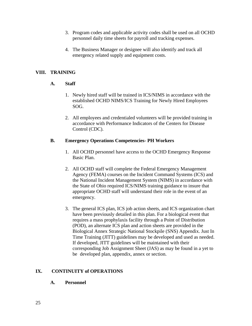- 3. Program codes and applicable activity codes shall be used on all OCHD personnel daily time sheets for payroll and tracking expenses.
- 4. The Business Manager or designee will also identify and track all emergency related supply and equipment costs.

# **VIII. TRAINING**

# **A. Staff**

- 1. Newly hired staff will be trained in ICS/NIMS in accordance with the established OCHD NIMS/ICS Training for Newly Hired Employees SOG.
- 2. All employees and credentialed volunteers will be provided training in accordance with Performance Indicators of the Centers for Disease Control (CDC).

## **B. Emergency Operations Competencies- PH Workers**

- 1. All OCHD personnel have access to the OCHD Emergency Response Basic Plan.
- 2. All OCHD staff will complete the Federal Emergency Management Agency (FEMA) courses on the Incident Command Systems (ICS) and the National Incident Management System (NIMS) in accordance with the State of Ohio required ICS/NIMS training guidance to insure that appropriate OCHD staff will understand their role in the event of an emergency.
- 3. The general ICS plan, ICS job action sheets, and ICS organization chart have been previously detailed in this plan. For a biological event that requires a mass prophylaxis facility through a Point of Distribution (POD), an alternate ICS plan and action sheets are provided in the Biological Annex Strategic National Stockpile (SNS) Appendix. Just In Time Training (JITT) guidelines may be developed and used as needed. If developed, JITT guidelines will be maintained with their corresponding Job Assignment Sheet (JAS) as may be found in a yet to be developed plan, appendix, annex or section.

# **IX. CONTINUITY of OPERATIONS**

 **A. Personnel**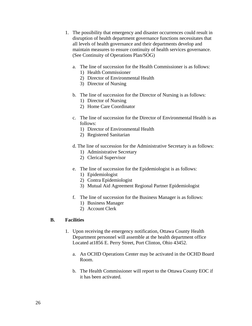- 1. The possibility that emergency and disaster occurrences could result in disruption of health department governance functions necessitates that all levels of health governance and their departments develop and maintain measures to ensure continuity of health services governance. (See Continuity of Operations Plan/SOG)
	- a. The line of succession for the Health Commissioner is as follows:
		- 1) Health Commissioner
		- 2) Director of Environmental Health
		- 3) Director of Nursing
	- b. The line of succession for the Director of Nursing is as follows:
		- 1) Director of Nursing
		- 2) Home Care Coordinator
	- c. The line of succession for the Director of Environmental Health is as follows:
		- 1) Director of Environmental Health
		- 2) Registered Sanitarian
	- d. The line of succession for the Administrative Secretary is as follows:
		- 1) Administrative Secretary
		- 2) Clerical Supervisor
	- e. The line of succession for the Epidemiologist is as follows:
		- 1) Epidemiologist
		- 2) Contra Epidemiologist
		- 3) Mutual Aid Agreement Regional Partner Epidemiologist
	- f. The line of succession for the Business Manager is as follows:
		- 1) Business Manager
		- 2) Account Clerk

#### **B. Facilities**

- 1. Upon receiving the emergency notification, Ottawa County Health Department personnel will assemble at the health department office Located at1856 E. Perry Street, Port Clinton, Ohio 43452.
	- a. An OCHD Operations Center may be activated in the OCHD Board Room.
	- b. The Health Commissioner will report to the Ottawa County EOC if it has been activated.